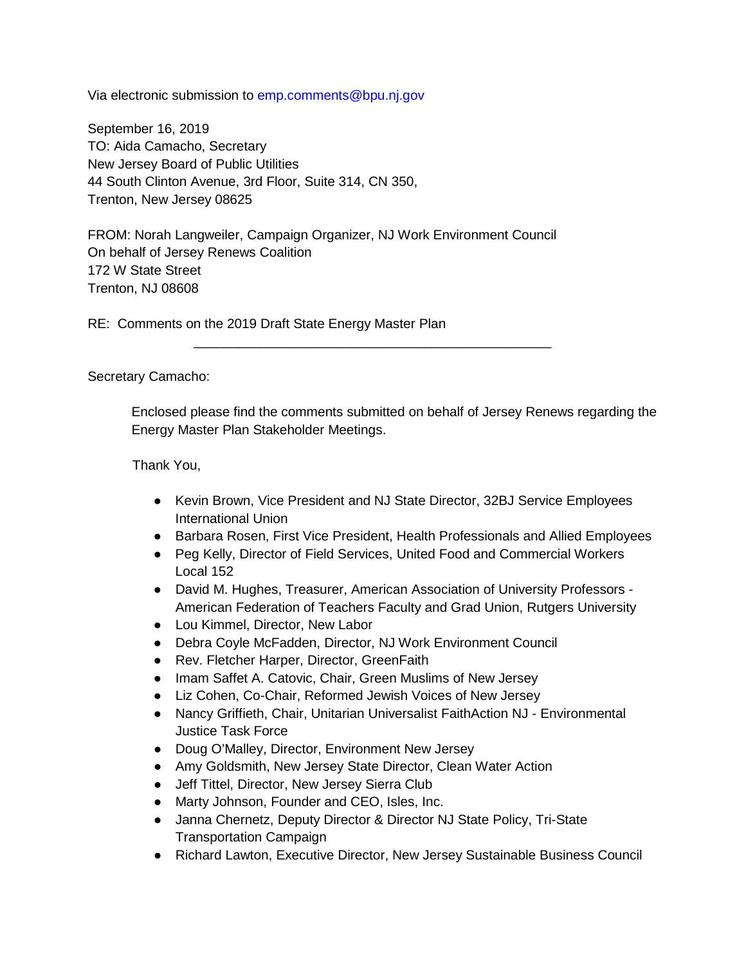Via electronic submission to emp.comments@bpu.nj.gov

September 16, 2019 TO: Aida Camacho, Secretary New Jersey Board of Public Utilities 44 South Clinton Avenue, 3rd Floor, Suite 314, CN 350, Trenton, New Jersey 08625

FROM: Norah Langweiler, Campaign Organizer, NJ Work Environment Council On behalf of Jersey Renews Coalition 172 W State Street Trenton, NJ 08608

RE: Comments on the 2019 Draft State Energy Master Plan

Secretary Camacho:

Enclosed please find the comments submitted on behalf of Jersey Renews regarding the Energy Master Plan Stakeholder Meetings.

\_\_\_\_\_\_\_\_\_\_\_\_\_\_\_\_\_\_\_\_\_\_\_\_\_\_\_\_\_\_\_\_\_\_\_\_\_\_\_\_\_\_\_\_\_\_\_\_

Thank You,

- Kevin Brown, Vice President and NJ State Director, 32BJ Service Employees International Union
- Barbara Rosen, First Vice President, Health Professionals and Allied Employees
- Peg Kelly, Director of Field Services, United Food and Commercial Workers Local 152
- David M. Hughes, Treasurer, American Association of University Professors American Federation of Teachers Faculty and Grad Union, Rutgers University
- Lou Kimmel, Director, New Labor
- Debra Coyle McFadden, Director, NJ Work Environment Council
- Rev. Fletcher Harper, Director, GreenFaith
- Imam Saffet A. Catovic, Chair, Green Muslims of New Jersey
- Liz Cohen, Co-Chair, Reformed Jewish Voices of New Jersey
- Nancy Griffieth, Chair, Unitarian Universalist FaithAction NJ Environmental Justice Task Force
- Doug O'Malley, Director, Environment New Jersey
- Amy Goldsmith, New Jersey State Director, Clean Water Action
- Jeff Tittel, Director, New Jersey Sierra Club
- Marty Johnson, Founder and CEO, Isles, Inc.
- Janna Chernetz, Deputy Director & Director NJ State Policy, Tri-State Transportation Campaign
- Richard Lawton, Executive Director, New Jersey Sustainable Business Council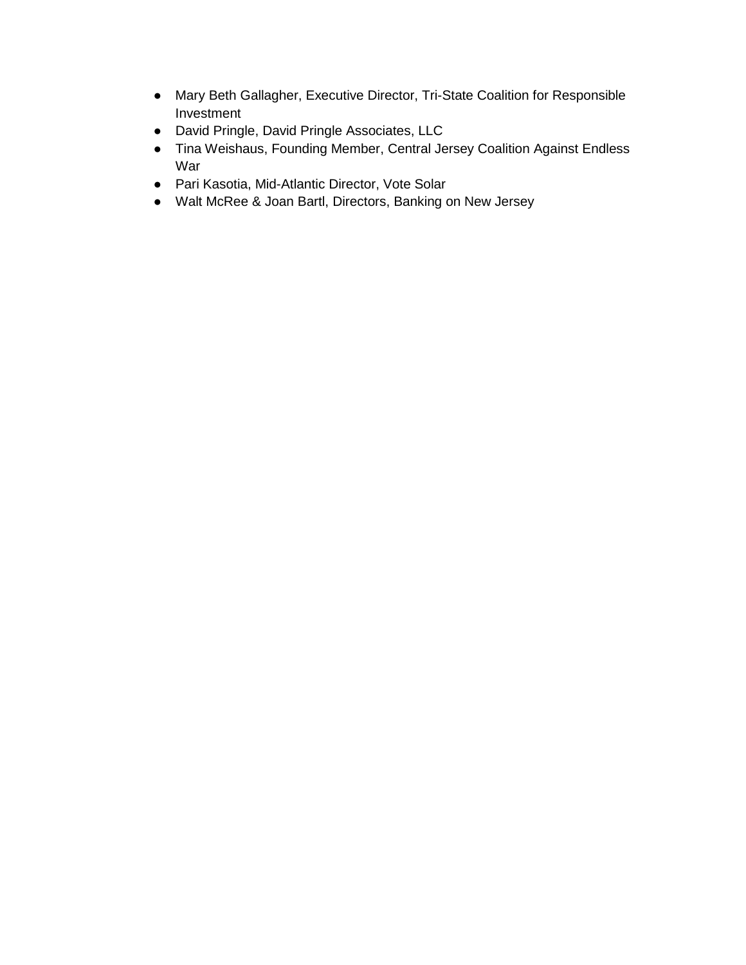- Mary Beth Gallagher, Executive Director, Tri-State Coalition for Responsible Investment
- David Pringle, David Pringle Associates, LLC
- Tina Weishaus, Founding Member, Central Jersey Coalition Against Endless War
- Pari Kasotia, Mid-Atlantic Director, Vote Solar
- Walt McRee & Joan Bartl, Directors, Banking on New Jersey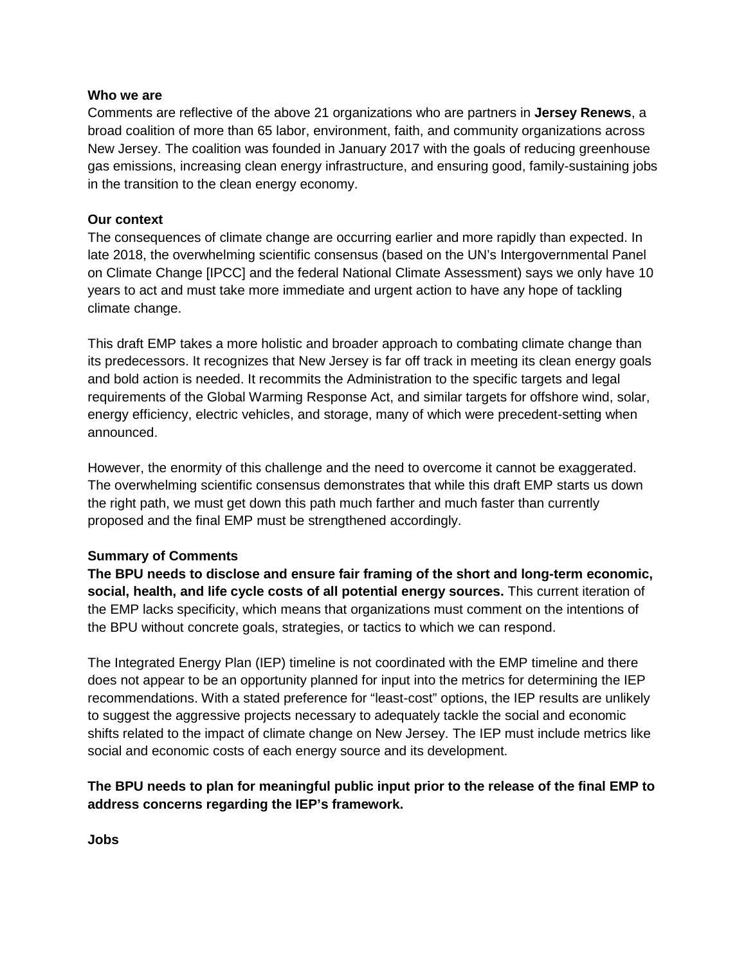#### **Who we are**

Comments are reflective of the above 21 organizations who are partners in **Jersey Renews**, a broad coalition of more than 65 labor, environment, faith, and community organizations across New Jersey. The coalition was founded in January 2017 with the goals of reducing greenhouse gas emissions, increasing clean energy infrastructure, and ensuring good, family-sustaining jobs in the transition to the clean energy economy.

### **Our context**

The consequences of climate change are occurring earlier and more rapidly than expected. In late 2018, the overwhelming scientific consensus (based on the UN's Intergovernmental Panel on Climate Change [IPCC] and the federal National Climate Assessment) says we only have 10 years to act and must take more immediate and urgent action to have any hope of tackling climate change.

This draft EMP takes a more holistic and broader approach to combating climate change than its predecessors. It recognizes that New Jersey is far off track in meeting its clean energy goals and bold action is needed. It recommits the Administration to the specific targets and legal requirements of the Global Warming Response Act, and similar targets for offshore wind, solar, energy efficiency, electric vehicles, and storage, many of which were precedent-setting when announced.

However, the enormity of this challenge and the need to overcome it cannot be exaggerated. The overwhelming scientific consensus demonstrates that while this draft EMP starts us down the right path, we must get down this path much farther and much faster than currently proposed and the final EMP must be strengthened accordingly.

#### **Summary of Comments**

**The BPU needs to disclose and ensure fair framing of the short and long-term economic, social, health, and life cycle costs of all potential energy sources.** This current iteration of the EMP lacks specificity, which means that organizations must comment on the intentions of the BPU without concrete goals, strategies, or tactics to which we can respond.

The Integrated Energy Plan (IEP) timeline is not coordinated with the EMP timeline and there does not appear to be an opportunity planned for input into the metrics for determining the IEP recommendations. With a stated preference for "least-cost" options, the IEP results are unlikely to suggest the aggressive projects necessary to adequately tackle the social and economic shifts related to the impact of climate change on New Jersey. The IEP must include metrics like social and economic costs of each energy source and its development.

## **The BPU needs to plan for meaningful public input prior to the release of the final EMP to address concerns regarding the IEP's framework.**

**Jobs**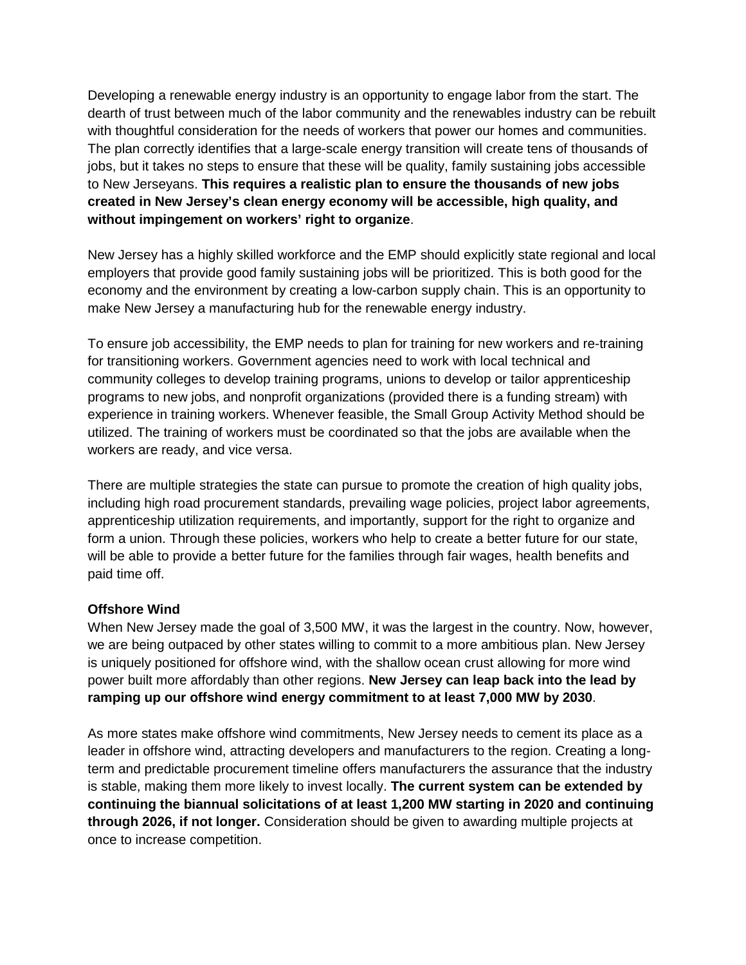Developing a renewable energy industry is an opportunity to engage labor from the start. The dearth of trust between much of the labor community and the renewables industry can be rebuilt with thoughtful consideration for the needs of workers that power our homes and communities. The plan correctly identifies that a large-scale energy transition will create tens of thousands of jobs, but it takes no steps to ensure that these will be quality, family sustaining jobs accessible to New Jerseyans. **This requires a realistic plan to ensure the thousands of new jobs created in New Jersey's clean energy economy will be accessible, high quality, and without impingement on workers' right to organize**.

New Jersey has a highly skilled workforce and the EMP should explicitly state regional and local employers that provide good family sustaining jobs will be prioritized. This is both good for the economy and the environment by creating a low-carbon supply chain. This is an opportunity to make New Jersey a manufacturing hub for the renewable energy industry.

To ensure job accessibility, the EMP needs to plan for training for new workers and re-training for transitioning workers. Government agencies need to work with local technical and community colleges to develop training programs, unions to develop or tailor apprenticeship programs to new jobs, and nonprofit organizations (provided there is a funding stream) with experience in training workers. Whenever feasible, the Small Group Activity Method should be utilized. The training of workers must be coordinated so that the jobs are available when the workers are ready, and vice versa.

There are multiple strategies the state can pursue to promote the creation of high quality jobs, including high road procurement standards, prevailing wage policies, project labor agreements, apprenticeship utilization requirements, and importantly, support for the right to organize and form a union. Through these policies, workers who help to create a better future for our state, will be able to provide a better future for the families through fair wages, health benefits and paid time off.

#### **Offshore Wind**

When New Jersey made the goal of 3,500 MW, it was the largest in the country. Now, however, we are being outpaced by other states willing to commit to a more ambitious plan. New Jersey is uniquely positioned for offshore wind, with the shallow ocean crust allowing for more wind power built more affordably than other regions. **New Jersey can leap back into the lead by ramping up our offshore wind energy commitment to at least 7,000 MW by 2030**.

As more states make offshore wind commitments, New Jersey needs to cement its place as a leader in offshore wind, attracting developers and manufacturers to the region. Creating a longterm and predictable procurement timeline offers manufacturers the assurance that the industry is stable, making them more likely to invest locally. **The current system can be extended by continuing the biannual solicitations of at least 1,200 MW starting in 2020 and continuing through 2026, if not longer.** Consideration should be given to awarding multiple projects at once to increase competition.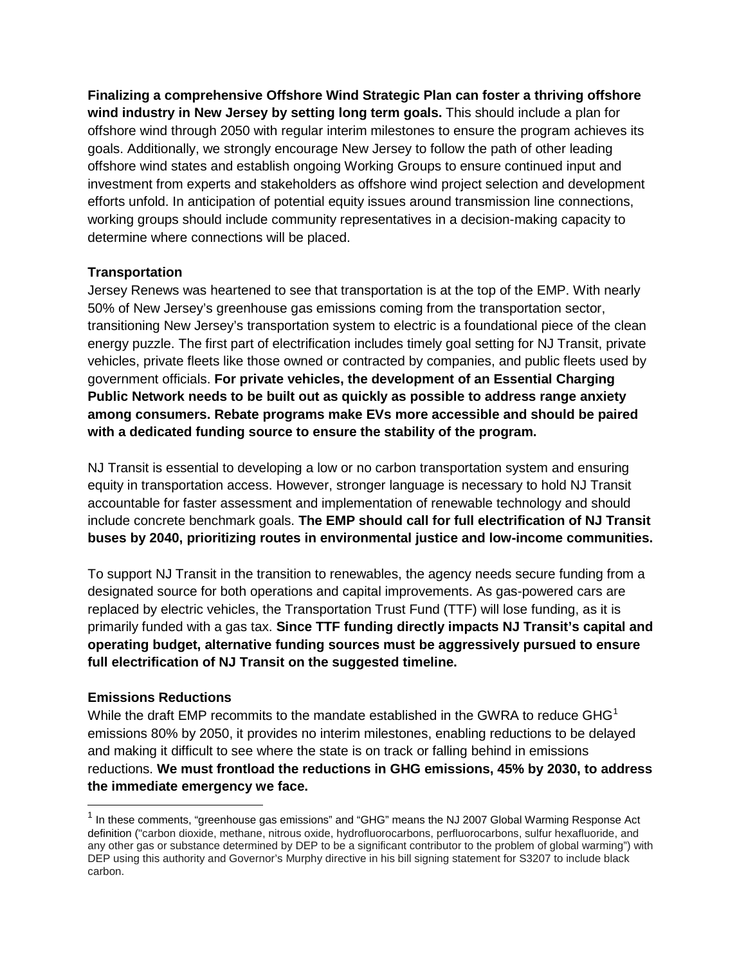**Finalizing a comprehensive Offshore Wind Strategic Plan can foster a thriving offshore wind industry in New Jersey by setting long term goals.** This should include a plan for offshore wind through 2050 with regular interim milestones to ensure the program achieves its goals. Additionally, we strongly encourage New Jersey to follow the path of other leading offshore wind states and establish ongoing Working Groups to ensure continued input and investment from experts and stakeholders as offshore wind project selection and development efforts unfold. In anticipation of potential equity issues around transmission line connections, working groups should include community representatives in a decision-making capacity to determine where connections will be placed.

### **Transportation**

Jersey Renews was heartened to see that transportation is at the top of the EMP. With nearly 50% of New Jersey's greenhouse gas emissions coming from the transportation sector, transitioning New Jersey's transportation system to electric is a foundational piece of the clean energy puzzle. The first part of electrification includes timely goal setting for NJ Transit, private vehicles, private fleets like those owned or contracted by companies, and public fleets used by government officials. **For private vehicles, the development of an Essential Charging Public Network needs to be built out as quickly as possible to address range anxiety among consumers. Rebate programs make EVs more accessible and should be paired with a dedicated funding source to ensure the stability of the program.**

NJ Transit is essential to developing a low or no carbon transportation system and ensuring equity in transportation access. However, stronger language is necessary to hold NJ Transit accountable for faster assessment and implementation of renewable technology and should include concrete benchmark goals. **The EMP should call for full electrification of NJ Transit buses by 2040, prioritizing routes in environmental justice and low-income communities.**

To support NJ Transit in the transition to renewables, the agency needs secure funding from a designated source for both operations and capital improvements. As gas-powered cars are replaced by electric vehicles, the Transportation Trust Fund (TTF) will lose funding, as it is primarily funded with a gas tax. **Since TTF funding directly impacts NJ Transit's capital and operating budget, alternative funding sources must be aggressively pursued to ensure full electrification of NJ Transit on the suggested timeline.**

#### **Emissions Reductions**

While the draft EMP recommits to the mandate established in the GWRA to reduce  $GHG<sup>1</sup>$  $GHG<sup>1</sup>$  $GHG<sup>1</sup>$ emissions 80% by 2050, it provides no interim milestones, enabling reductions to be delayed and making it difficult to see where the state is on track or falling behind in emissions reductions. **We must frontload the reductions in GHG emissions, 45% by 2030, to address the immediate emergency we face.**

<span id="page-4-0"></span> $1$  In these comments, "greenhouse gas emissions" and "GHG" means the NJ 2007 Global Warming Response Act definition ("carbon dioxide, methane, nitrous oxide, hydrofluorocarbons, perfluorocarbons, sulfur hexafluoride, and any other gas or substance determined by DEP to be a significant contributor to the problem of global warming") with DEP using this authority and Governor's Murphy directive in his bill signing statement for S3207 to include black carbon.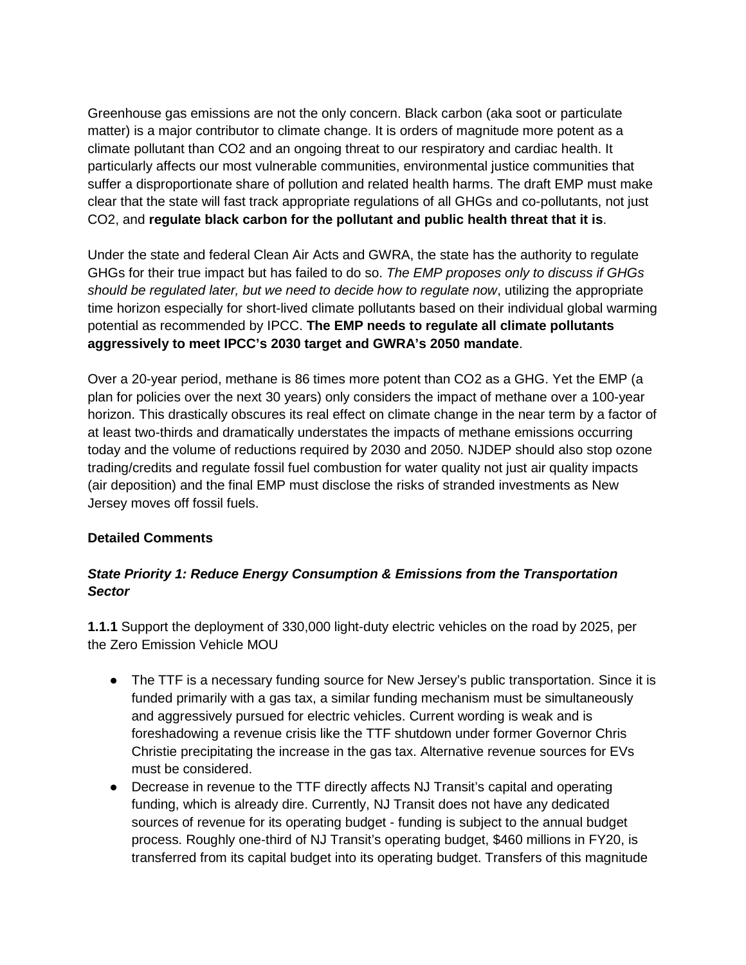Greenhouse gas emissions are not the only concern. Black carbon (aka soot or particulate matter) is a major contributor to climate change. It is orders of magnitude more potent as a climate pollutant than CO2 and an ongoing threat to our respiratory and cardiac health. It particularly affects our most vulnerable communities, environmental justice communities that suffer a disproportionate share of pollution and related health harms. The draft EMP must make clear that the state will fast track appropriate regulations of all GHGs and co-pollutants, not just CO2, and **regulate black carbon for the pollutant and public health threat that it is**.

Under the state and federal Clean Air Acts and GWRA, the state has the authority to regulate GHGs for their true impact but has failed to do so. *The EMP proposes only to discuss if GHGs should be regulated later, but we need to decide how to regulate now*, utilizing the appropriate time horizon especially for short-lived climate pollutants based on their individual global warming potential as recommended by IPCC. **The EMP needs to regulate all climate pollutants aggressively to meet IPCC's 2030 target and GWRA's 2050 mandate**.

Over a 20-year period, methane is 86 times more potent than CO2 as a GHG. Yet the EMP (a plan for policies over the next 30 years) only considers the impact of methane over a 100-year horizon. This drastically obscures its real effect on climate change in the near term by a factor of at least two-thirds and dramatically understates the impacts of methane emissions occurring today and the volume of reductions required by 2030 and 2050. NJDEP should also stop ozone trading/credits and regulate fossil fuel combustion for water quality not just air quality impacts (air deposition) and the final EMP must disclose the risks of stranded investments as New Jersey moves off fossil fuels.

## **Detailed Comments**

# *State Priority 1: Reduce Energy Consumption & Emissions from the Transportation Sector*

**1.1.1** Support the deployment of 330,000 light-duty electric vehicles on the road by 2025, per the Zero Emission Vehicle MOU

- The TTF is a necessary funding source for New Jersey's public transportation. Since it is funded primarily with a gas tax, a similar funding mechanism must be simultaneously and aggressively pursued for electric vehicles. Current wording is weak and is foreshadowing a revenue crisis like the TTF shutdown under former Governor Chris Christie precipitating the increase in the gas tax. Alternative revenue sources for EVs must be considered.
- Decrease in revenue to the TTF directly affects NJ Transit's capital and operating funding, which is already dire. Currently, NJ Transit does not have any dedicated sources of revenue for its operating budget - funding is subject to the annual budget process. Roughly one-third of NJ Transit's operating budget, \$460 millions in FY20, is transferred from its capital budget into its operating budget. Transfers of this magnitude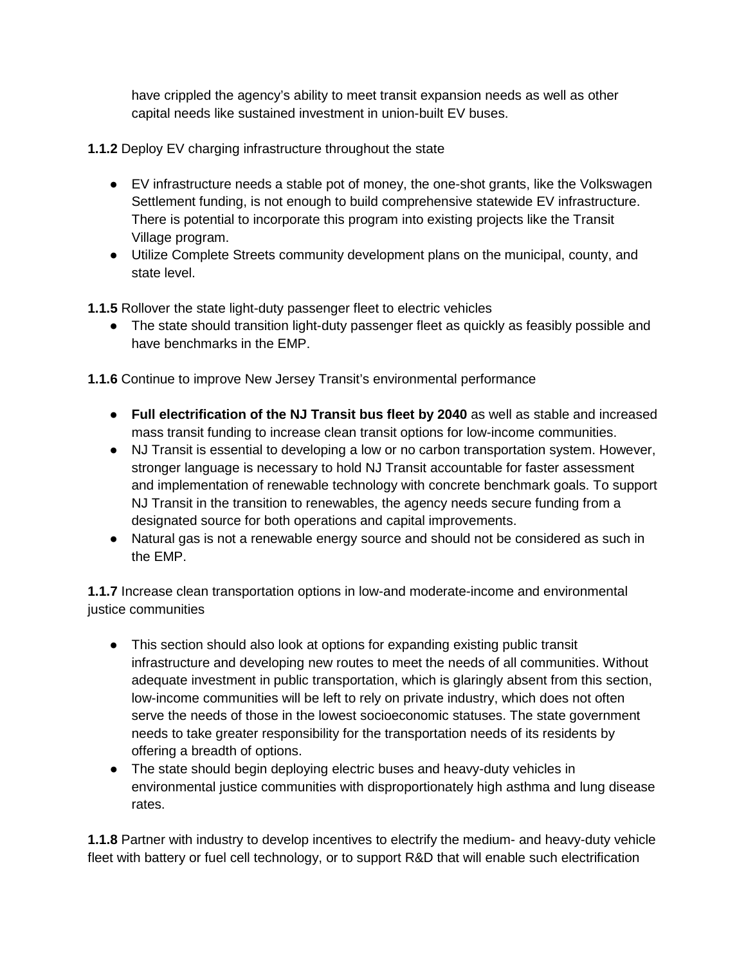have crippled the agency's ability to meet transit expansion needs as well as other capital needs like sustained investment in union-built EV buses.

- **1.1.2** Deploy EV charging infrastructure throughout the state
	- EV infrastructure needs a stable pot of money, the one-shot grants, like the Volkswagen Settlement funding, is not enough to build comprehensive statewide EV infrastructure. There is potential to incorporate this program into existing projects like the Transit Village program.
	- Utilize Complete Streets community development plans on the municipal, county, and state level.

**1.1.5** Rollover the state light-duty passenger fleet to electric vehicles

• The state should transition light-duty passenger fleet as quickly as feasibly possible and have benchmarks in the EMP.

**1.1.6** Continue to improve New Jersey Transit's environmental performance

- **Full electrification of the NJ Transit bus fleet by 2040** as well as stable and increased mass transit funding to increase clean transit options for low-income communities.
- NJ Transit is essential to developing a low or no carbon transportation system. However, stronger language is necessary to hold NJ Transit accountable for faster assessment and implementation of renewable technology with concrete benchmark goals. To support NJ Transit in the transition to renewables, the agency needs secure funding from a designated source for both operations and capital improvements.
- Natural gas is not a renewable energy source and should not be considered as such in the EMP.

**1.1.7** Increase clean transportation options in low-and moderate-income and environmental justice communities

- This section should also look at options for expanding existing public transit infrastructure and developing new routes to meet the needs of all communities. Without adequate investment in public transportation, which is glaringly absent from this section, low-income communities will be left to rely on private industry, which does not often serve the needs of those in the lowest socioeconomic statuses. The state government needs to take greater responsibility for the transportation needs of its residents by offering a breadth of options.
- The state should begin deploying electric buses and heavy-duty vehicles in environmental justice communities with disproportionately high asthma and lung disease rates.

**1.1.8** Partner with industry to develop incentives to electrify the medium- and heavy-duty vehicle fleet with battery or fuel cell technology, or to support R&D that will enable such electrification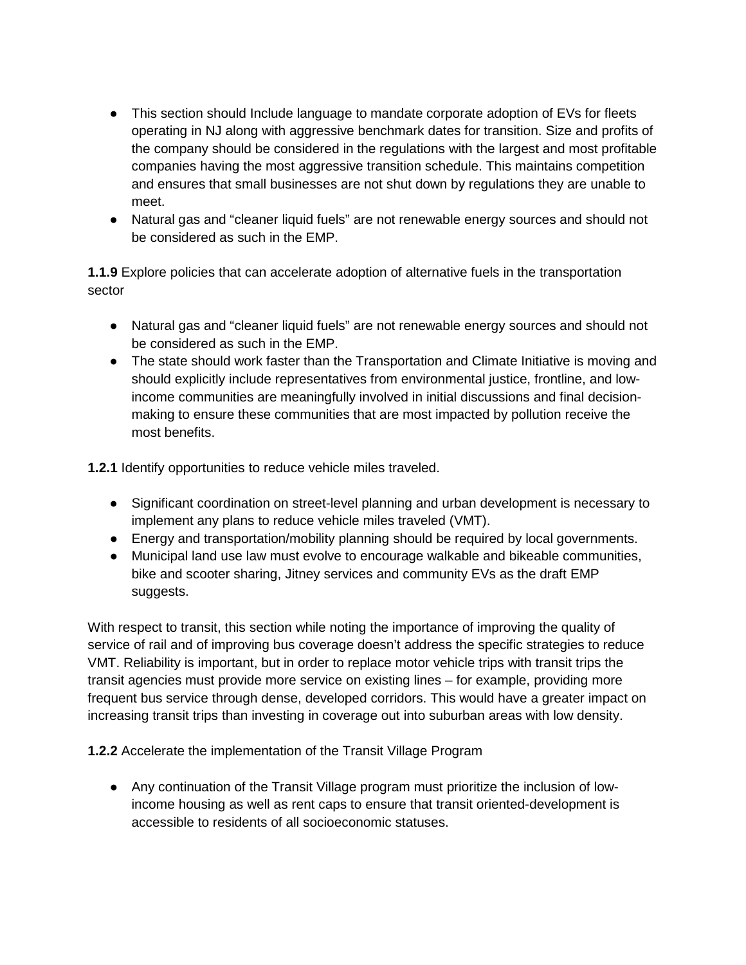- This section should Include language to mandate corporate adoption of EVs for fleets operating in NJ along with aggressive benchmark dates for transition. Size and profits of the company should be considered in the regulations with the largest and most profitable companies having the most aggressive transition schedule. This maintains competition and ensures that small businesses are not shut down by regulations they are unable to meet.
- Natural gas and "cleaner liquid fuels" are not renewable energy sources and should not be considered as such in the EMP.

**1.1.9** Explore policies that can accelerate adoption of alternative fuels in the transportation sector

- Natural gas and "cleaner liquid fuels" are not renewable energy sources and should not be considered as such in the EMP.
- The state should work faster than the Transportation and Climate Initiative is moving and should explicitly include representatives from environmental justice, frontline, and lowincome communities are meaningfully involved in initial discussions and final decisionmaking to ensure these communities that are most impacted by pollution receive the most benefits.

**1.2.1** Identify opportunities to reduce vehicle miles traveled.

- Significant coordination on street-level planning and urban development is necessary to implement any plans to reduce vehicle miles traveled (VMT).
- Energy and transportation/mobility planning should be required by local governments.
- Municipal land use law must evolve to encourage walkable and bikeable communities, bike and scooter sharing, Jitney services and community EVs as the draft EMP suggests.

With respect to transit, this section while noting the importance of improving the quality of service of rail and of improving bus coverage doesn't address the specific strategies to reduce VMT. Reliability is important, but in order to replace motor vehicle trips with transit trips the transit agencies must provide more service on existing lines – for example, providing more frequent bus service through dense, developed corridors. This would have a greater impact on increasing transit trips than investing in coverage out into suburban areas with low density.

**1.2.2** Accelerate the implementation of the Transit Village Program

● Any continuation of the Transit Village program must prioritize the inclusion of lowincome housing as well as rent caps to ensure that transit oriented-development is accessible to residents of all socioeconomic statuses.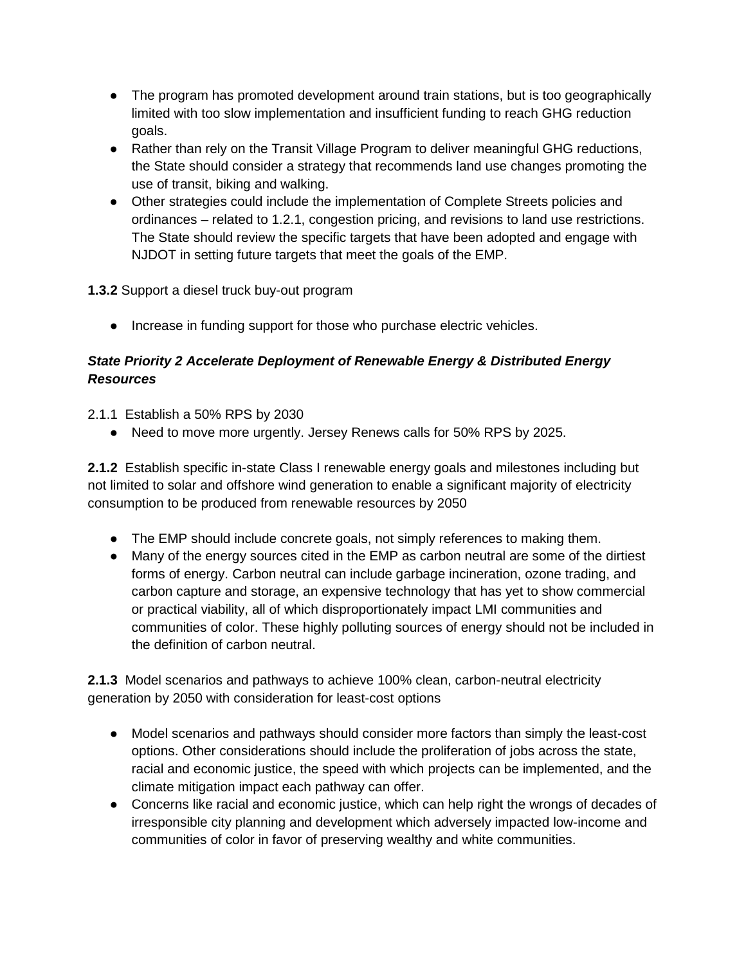- The program has promoted development around train stations, but is too geographically limited with too slow implementation and insufficient funding to reach GHG reduction goals.
- Rather than rely on the Transit Village Program to deliver meaningful GHG reductions, the State should consider a strategy that recommends land use changes promoting the use of transit, biking and walking.
- Other strategies could include the implementation of Complete Streets policies and ordinances – related to 1.2.1, congestion pricing, and revisions to land use restrictions. The State should review the specific targets that have been adopted and engage with NJDOT in setting future targets that meet the goals of the EMP.

## **1.3.2** Support a diesel truck buy-out program

● Increase in funding support for those who purchase electric vehicles.

# *State Priority 2 Accelerate Deployment of Renewable Energy & Distributed Energy Resources*

2.1.1 Establish a 50% RPS by 2030

● Need to move more urgently. Jersey Renews calls for 50% RPS by 2025.

**2.1.2** Establish specific in-state Class I renewable energy goals and milestones including but not limited to solar and offshore wind generation to enable a significant majority of electricity consumption to be produced from renewable resources by 2050

- The EMP should include concrete goals, not simply references to making them.
- Many of the energy sources cited in the EMP as carbon neutral are some of the dirtiest forms of energy. Carbon neutral can include garbage incineration, ozone trading, and carbon capture and storage, an expensive technology that has yet to show commercial or practical viability, all of which disproportionately impact LMI communities and communities of color. These highly polluting sources of energy should not be included in the definition of carbon neutral.

**2.1.3** Model scenarios and pathways to achieve 100% clean, carbon-neutral electricity generation by 2050 with consideration for least-cost options

- Model scenarios and pathways should consider more factors than simply the least-cost options. Other considerations should include the proliferation of jobs across the state, racial and economic justice, the speed with which projects can be implemented, and the climate mitigation impact each pathway can offer.
- Concerns like racial and economic justice, which can help right the wrongs of decades of irresponsible city planning and development which adversely impacted low-income and communities of color in favor of preserving wealthy and white communities.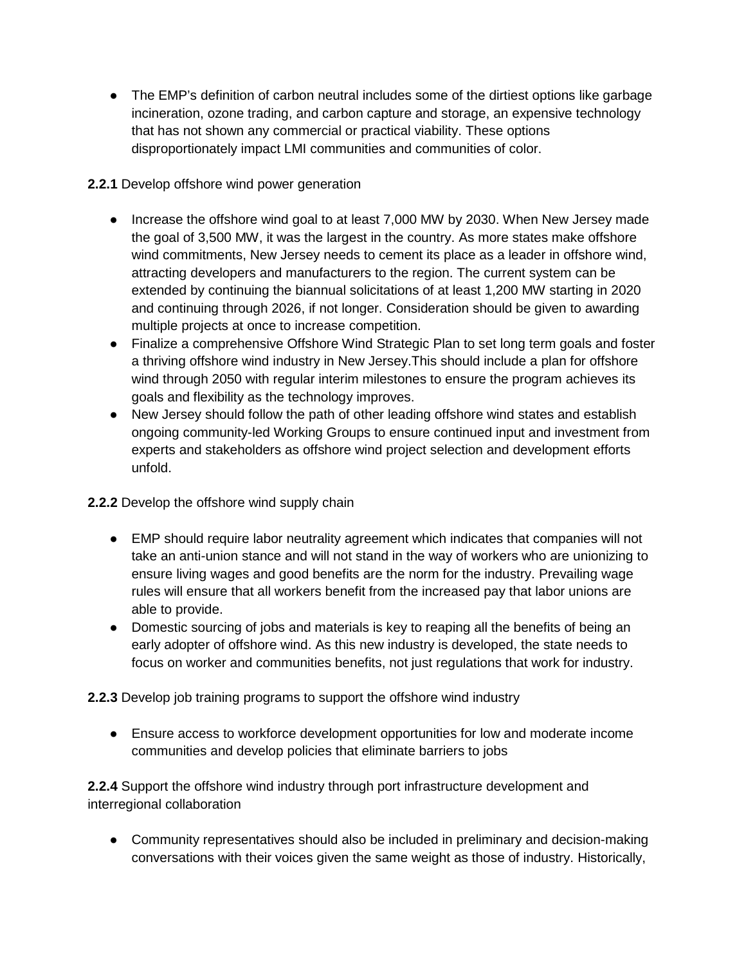• The EMP's definition of carbon neutral includes some of the dirtiest options like garbage incineration, ozone trading, and carbon capture and storage, an expensive technology that has not shown any commercial or practical viability. These options disproportionately impact LMI communities and communities of color.

## **2.2.1** Develop offshore wind power generation

- Increase the offshore wind goal to at least 7,000 MW by 2030. When New Jersey made the goal of 3,500 MW, it was the largest in the country. As more states make offshore wind commitments, New Jersey needs to cement its place as a leader in offshore wind, attracting developers and manufacturers to the region. The current system can be extended by continuing the biannual solicitations of at least 1,200 MW starting in 2020 and continuing through 2026, if not longer. Consideration should be given to awarding multiple projects at once to increase competition.
- Finalize a comprehensive Offshore Wind Strategic Plan to set long term goals and foster a thriving offshore wind industry in New Jersey.This should include a plan for offshore wind through 2050 with regular interim milestones to ensure the program achieves its goals and flexibility as the technology improves.
- New Jersey should follow the path of other leading offshore wind states and establish ongoing community-led Working Groups to ensure continued input and investment from experts and stakeholders as offshore wind project selection and development efforts unfold.

## **2.2.2** Develop the offshore wind supply chain

- EMP should require labor neutrality agreement which indicates that companies will not take an anti-union stance and will not stand in the way of workers who are unionizing to ensure living wages and good benefits are the norm for the industry. Prevailing wage rules will ensure that all workers benefit from the increased pay that labor unions are able to provide.
- Domestic sourcing of jobs and materials is key to reaping all the benefits of being an early adopter of offshore wind. As this new industry is developed, the state needs to focus on worker and communities benefits, not just regulations that work for industry.

**2.2.3** Develop job training programs to support the offshore wind industry

● Ensure access to workforce development opportunities for low and moderate income communities and develop policies that eliminate barriers to jobs

**2.2.4** Support the offshore wind industry through port infrastructure development and interregional collaboration

• Community representatives should also be included in preliminary and decision-making conversations with their voices given the same weight as those of industry. Historically,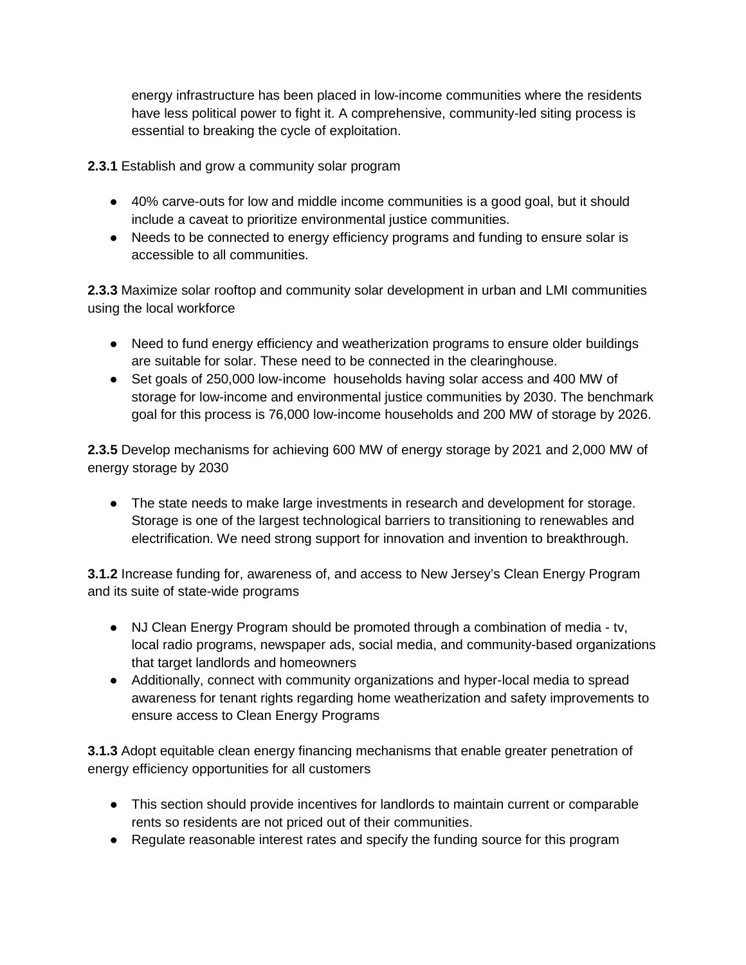energy infrastructure has been placed in low-income communities where the residents have less political power to fight it. A comprehensive, community-led siting process is essential to breaking the cycle of exploitation.

**2.3.1** Establish and grow a community solar program

- 40% carve-outs for low and middle income communities is a good goal, but it should include a caveat to prioritize environmental justice communities.
- Needs to be connected to energy efficiency programs and funding to ensure solar is accessible to all communities.

**2.3.3** Maximize solar rooftop and community solar development in urban and LMI communities using the local workforce

- Need to fund energy efficiency and weatherization programs to ensure older buildings are suitable for solar. These need to be connected in the clearinghouse.
- Set goals of 250,000 low-income households having solar access and 400 MW of storage for low-income and environmental justice communities by 2030. The benchmark goal for this process is 76,000 low-income households and 200 MW of storage by 2026.

**2.3.5** Develop mechanisms for achieving 600 MW of energy storage by 2021 and 2,000 MW of energy storage by 2030

• The state needs to make large investments in research and development for storage. Storage is one of the largest technological barriers to transitioning to renewables and electrification. We need strong support for innovation and invention to breakthrough.

**3.1.2** Increase funding for, awareness of, and access to New Jersey's Clean Energy Program and its suite of state-wide programs

- NJ Clean Energy Program should be promoted through a combination of media tv, local radio programs, newspaper ads, social media, and community-based organizations that target landlords and homeowners
- Additionally, connect with community organizations and hyper-local media to spread awareness for tenant rights regarding home weatherization and safety improvements to ensure access to Clean Energy Programs

**3.1.3** Adopt equitable clean energy financing mechanisms that enable greater penetration of energy efficiency opportunities for all customers

- This section should provide incentives for landlords to maintain current or comparable rents so residents are not priced out of their communities.
- Regulate reasonable interest rates and specify the funding source for this program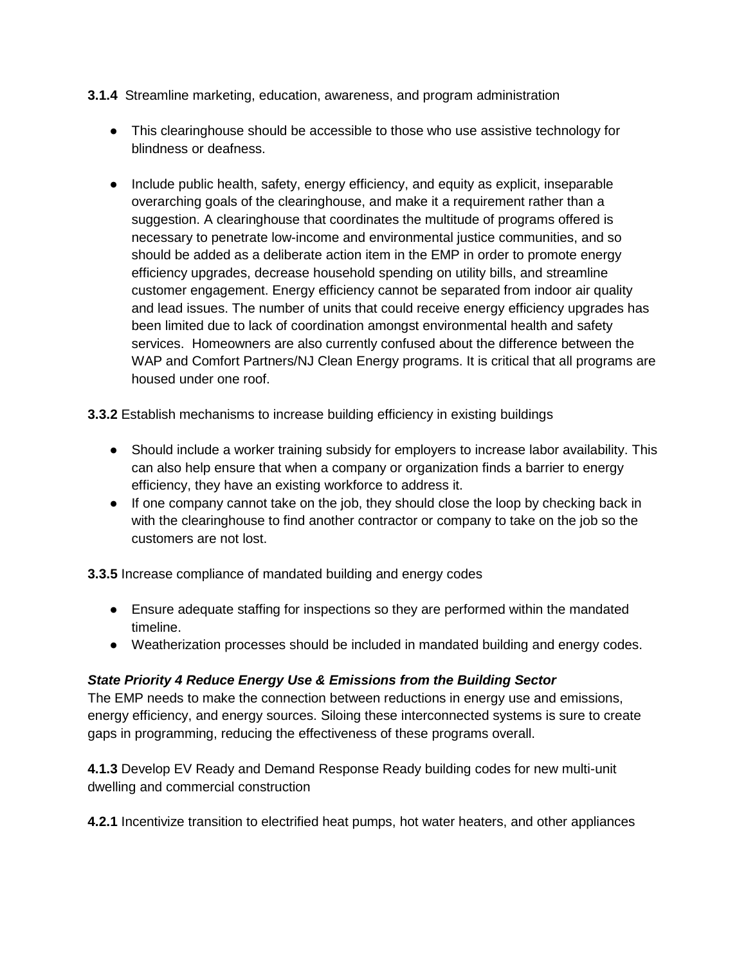- **3.1.4** Streamline marketing, education, awareness, and program administration
	- This clearinghouse should be accessible to those who use assistive technology for blindness or deafness.
	- Include public health, safety, energy efficiency, and equity as explicit, inseparable overarching goals of the clearinghouse, and make it a requirement rather than a suggestion. A clearinghouse that coordinates the multitude of programs offered is necessary to penetrate low-income and environmental justice communities, and so should be added as a deliberate action item in the EMP in order to promote energy efficiency upgrades, decrease household spending on utility bills, and streamline customer engagement. Energy efficiency cannot be separated from indoor air quality and lead issues. The number of units that could receive energy efficiency upgrades has been limited due to lack of coordination amongst environmental health and safety services. Homeowners are also currently confused about the difference between the WAP and Comfort Partners/NJ Clean Energy programs. It is critical that all programs are housed under one roof.

**3.3.2** Establish mechanisms to increase building efficiency in existing buildings

- Should include a worker training subsidy for employers to increase labor availability. This can also help ensure that when a company or organization finds a barrier to energy efficiency, they have an existing workforce to address it.
- If one company cannot take on the job, they should close the loop by checking back in with the clearinghouse to find another contractor or company to take on the job so the customers are not lost.

**3.3.5** Increase compliance of mandated building and energy codes

- Ensure adequate staffing for inspections so they are performed within the mandated timeline.
- Weatherization processes should be included in mandated building and energy codes.

## *State Priority 4 Reduce Energy Use & Emissions from the Building Sector*

The EMP needs to make the connection between reductions in energy use and emissions, energy efficiency, and energy sources. Siloing these interconnected systems is sure to create gaps in programming, reducing the effectiveness of these programs overall.

**4.1.3** Develop EV Ready and Demand Response Ready building codes for new multi-unit dwelling and commercial construction

**4.2.1** Incentivize transition to electrified heat pumps, hot water heaters, and other appliances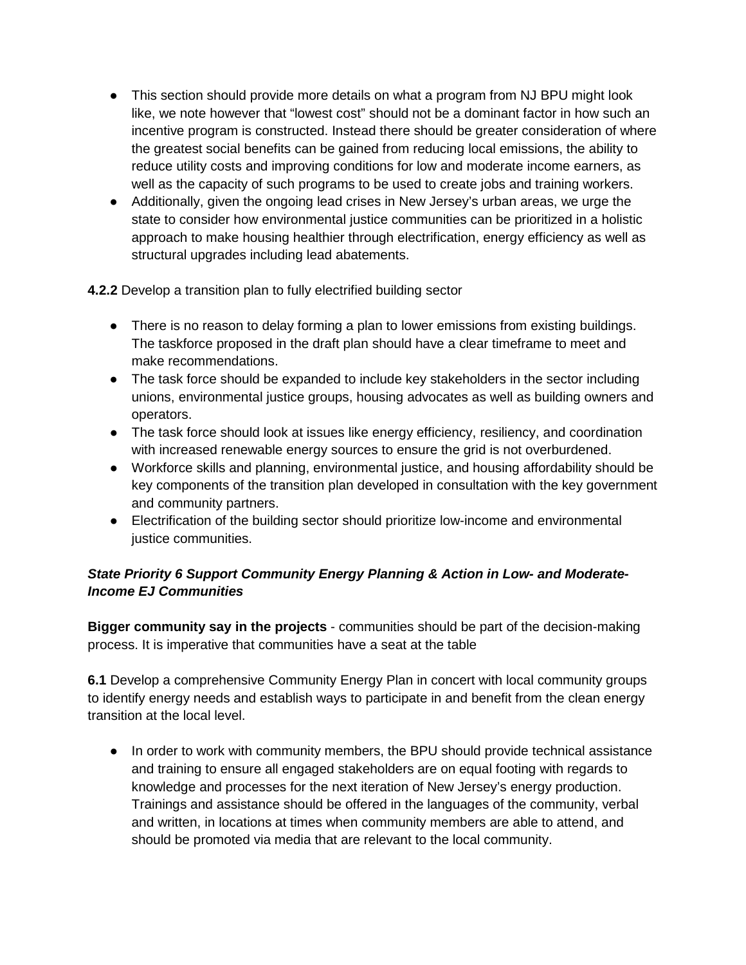- This section should provide more details on what a program from NJ BPU might look like, we note however that "lowest cost" should not be a dominant factor in how such an incentive program is constructed. Instead there should be greater consideration of where the greatest social benefits can be gained from reducing local emissions, the ability to reduce utility costs and improving conditions for low and moderate income earners, as well as the capacity of such programs to be used to create jobs and training workers.
- Additionally, given the ongoing lead crises in New Jersey's urban areas, we urge the state to consider how environmental justice communities can be prioritized in a holistic approach to make housing healthier through electrification, energy efficiency as well as structural upgrades including lead abatements.

**4.2.2** Develop a transition plan to fully electrified building sector

- There is no reason to delay forming a plan to lower emissions from existing buildings. The taskforce proposed in the draft plan should have a clear timeframe to meet and make recommendations.
- The task force should be expanded to include key stakeholders in the sector including unions, environmental justice groups, housing advocates as well as building owners and operators.
- The task force should look at issues like energy efficiency, resiliency, and coordination with increased renewable energy sources to ensure the grid is not overburdened.
- Workforce skills and planning, environmental justice, and housing affordability should be key components of the transition plan developed in consultation with the key government and community partners.
- Electrification of the building sector should prioritize low-income and environmental justice communities.

# *State Priority 6 Support Community Energy Planning & Action in Low- and Moderate-Income EJ Communities*

**Bigger community say in the projects** - communities should be part of the decision-making process. It is imperative that communities have a seat at the table

**6.1** Develop a comprehensive Community Energy Plan in concert with local community groups to identify energy needs and establish ways to participate in and benefit from the clean energy transition at the local level.

• In order to work with community members, the BPU should provide technical assistance and training to ensure all engaged stakeholders are on equal footing with regards to knowledge and processes for the next iteration of New Jersey's energy production. Trainings and assistance should be offered in the languages of the community, verbal and written, in locations at times when community members are able to attend, and should be promoted via media that are relevant to the local community.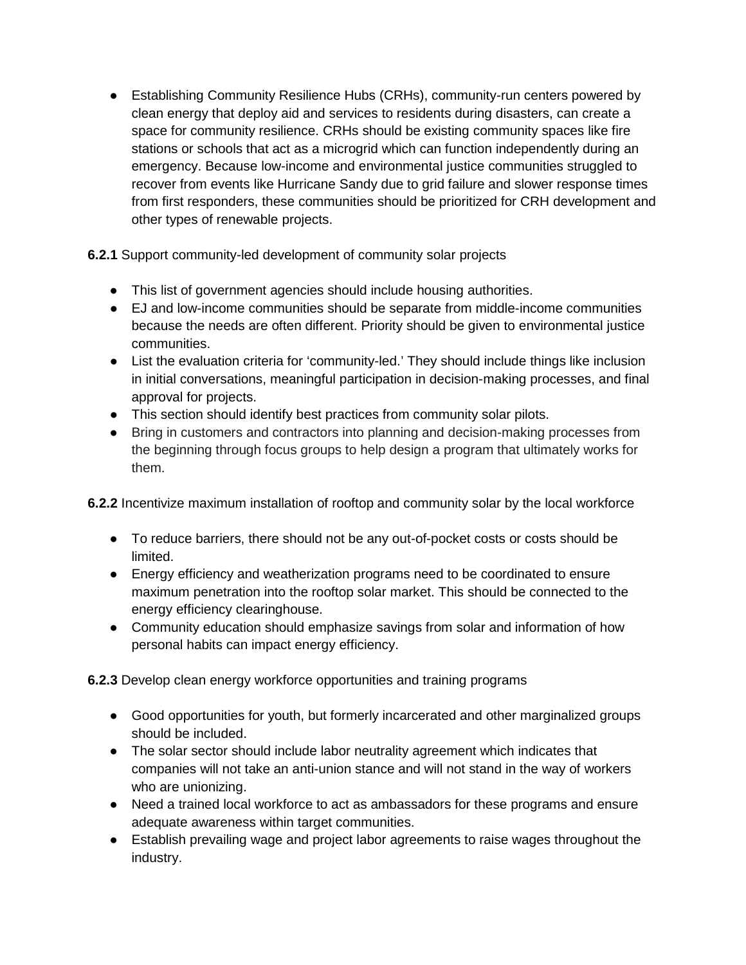● Establishing Community Resilience Hubs (CRHs), community-run centers powered by clean energy that deploy aid and services to residents during disasters, can create a space for community resilience. CRHs should be existing community spaces like fire stations or schools that act as a microgrid which can function independently during an emergency. Because low-income and environmental justice communities struggled to recover from events like Hurricane Sandy due to grid failure and slower response times from first responders, these communities should be prioritized for CRH development and other types of renewable projects.

**6.2.1** Support community-led development of community solar projects

- This list of government agencies should include housing authorities.
- EJ and low-income communities should be separate from middle-income communities because the needs are often different. Priority should be given to environmental justice communities.
- List the evaluation criteria for 'community-led.' They should include things like inclusion in initial conversations, meaningful participation in decision-making processes, and final approval for projects.
- This section should identify best practices from community solar pilots.
- Bring in customers and contractors into planning and decision-making processes from the beginning through focus groups to help design a program that ultimately works for them.

**6.2.2** Incentivize maximum installation of rooftop and community solar by the local workforce

- To reduce barriers, there should not be any out-of-pocket costs or costs should be limited.
- Energy efficiency and weatherization programs need to be coordinated to ensure maximum penetration into the rooftop solar market. This should be connected to the energy efficiency clearinghouse.
- Community education should emphasize savings from solar and information of how personal habits can impact energy efficiency.

**6.2.3** Develop clean energy workforce opportunities and training programs

- Good opportunities for youth, but formerly incarcerated and other marginalized groups should be included.
- The solar sector should include labor neutrality agreement which indicates that companies will not take an anti-union stance and will not stand in the way of workers who are unionizing.
- Need a trained local workforce to act as ambassadors for these programs and ensure adequate awareness within target communities.
- Establish prevailing wage and project labor agreements to raise wages throughout the industry.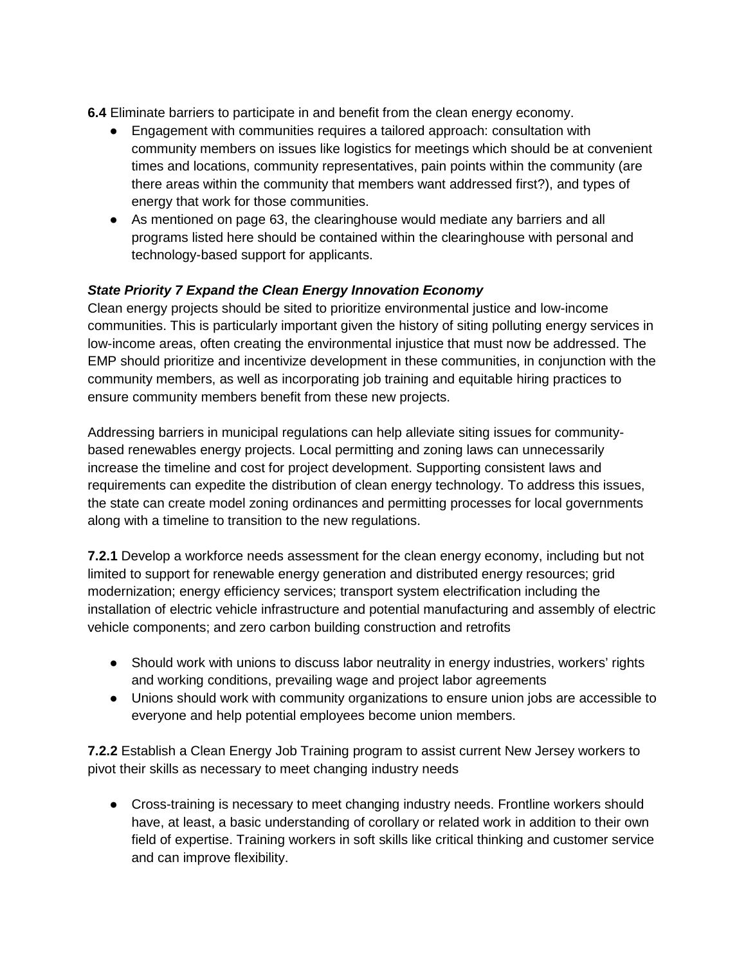**6.4** Eliminate barriers to participate in and benefit from the clean energy economy.

- Engagement with communities requires a tailored approach: consultation with community members on issues like logistics for meetings which should be at convenient times and locations, community representatives, pain points within the community (are there areas within the community that members want addressed first?), and types of energy that work for those communities.
- As mentioned on page 63, the clearinghouse would mediate any barriers and all programs listed here should be contained within the clearinghouse with personal and technology-based support for applicants.

## *State Priority 7 Expand the Clean Energy Innovation Economy*

Clean energy projects should be sited to prioritize environmental justice and low-income communities. This is particularly important given the history of siting polluting energy services in low-income areas, often creating the environmental injustice that must now be addressed. The EMP should prioritize and incentivize development in these communities, in conjunction with the community members, as well as incorporating job training and equitable hiring practices to ensure community members benefit from these new projects.

Addressing barriers in municipal regulations can help alleviate siting issues for communitybased renewables energy projects. Local permitting and zoning laws can unnecessarily increase the timeline and cost for project development. Supporting consistent laws and requirements can expedite the distribution of clean energy technology. To address this issues, the state can create model zoning ordinances and permitting processes for local governments along with a timeline to transition to the new regulations.

**7.2.1** Develop a workforce needs assessment for the clean energy economy, including but not limited to support for renewable energy generation and distributed energy resources; grid modernization; energy efficiency services; transport system electrification including the installation of electric vehicle infrastructure and potential manufacturing and assembly of electric vehicle components; and zero carbon building construction and retrofits

- Should work with unions to discuss labor neutrality in energy industries, workers' rights and working conditions, prevailing wage and project labor agreements
- Unions should work with community organizations to ensure union jobs are accessible to everyone and help potential employees become union members.

**7.2.2** Establish a Clean Energy Job Training program to assist current New Jersey workers to pivot their skills as necessary to meet changing industry needs

• Cross-training is necessary to meet changing industry needs. Frontline workers should have, at least, a basic understanding of corollary or related work in addition to their own field of expertise. Training workers in soft skills like critical thinking and customer service and can improve flexibility.